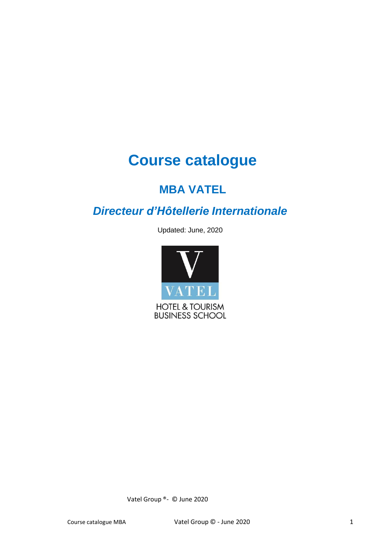# **Course catalogue**

# **MBA VATEL**

# *Directeur d'Hôtellerie Internationale*

Updated: June, 2020



Vatel Group ®- © June 2020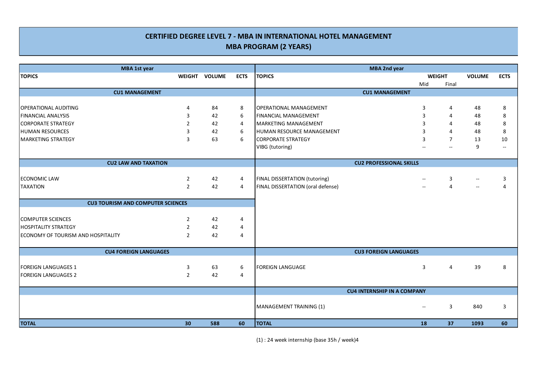## **CERTIFIED DEGREE LEVEL 7 - MBA IN INTERNATIONAL HOTEL MANAGEMENT MBA PROGRAM (2 YEARS)**

| MBA 1st year                              |                |               |                | MBA 2nd year                       |               |                |                |                          |
|-------------------------------------------|----------------|---------------|----------------|------------------------------------|---------------|----------------|----------------|--------------------------|
| <b>TOPICS</b>                             |                | WEIGHT VOLUME | <b>ECTS</b>    | <b>TOPICS</b>                      | <b>WEIGHT</b> |                | <b>VOLUME</b>  | <b>ECTS</b>              |
|                                           |                |               |                |                                    | Mid           | Final          |                |                          |
| <b>CU1 MANAGEMENT</b>                     |                |               |                | <b>CU1 MANAGEMENT</b>              |               |                |                |                          |
|                                           |                |               |                |                                    |               |                |                |                          |
| OPERATIONAL AUDITING                      | 4              | 84            | 8              | OPERATIONAL MANAGEMENT             | 3             | 4              | 48             | 8                        |
| <b>FINANCIAL ANALYSIS</b>                 | 3              | 42            | 6              | <b>FINANCIAL MANAGEMENT</b>        | 3             | 4              | 48             | 8                        |
| CORPORATE STRATEGY                        | 2              | 42            | $\overline{4}$ | MARKETING MANAGEMENT               | 3             | 4              | 48             | $\bf 8$                  |
| HUMAN RESOURCES                           | 3              | 42            | 6              | HUMAN RESOURCE MANAGEMENT          | 3             | $\overline{4}$ | 48             | 8                        |
| MARKETING STRATEGY                        | 3              | 63            | 6              | <b>CORPORATE STRATEGY</b>          | 3             | $\overline{7}$ | 13             | 10                       |
|                                           |                |               |                | VIBG (tutoring)                    |               | $\mathbf{u}$   | 9              | $\overline{\phantom{a}}$ |
|                                           |                |               |                |                                    |               |                |                |                          |
| <b>CU2 LAW AND TAXATION</b>               |                |               |                | <b>CU2 PROFESSIONAL SKILLS</b>     |               |                |                |                          |
|                                           |                |               |                |                                    |               |                |                |                          |
| ECONOMIC LAW                              | $\overline{2}$ | 42            | 4              | FINAL DISSERTATION (tutoring)      |               | 3              |                | 3                        |
| <b>TAXATION</b>                           | $\overline{2}$ | 42            | $\overline{4}$ | FINAL DISSERTATION (oral defense)  |               | $\overline{4}$ | $\overline{a}$ | $\overline{4}$           |
|                                           |                |               |                |                                    |               |                |                |                          |
| <b>CU3 TOURISM AND COMPUTER SCIENCES</b>  |                |               |                |                                    |               |                |                |                          |
|                                           |                |               |                |                                    |               |                |                |                          |
| COMPUTER SCIENCES                         | $\overline{2}$ | 42            | 4              |                                    |               |                |                |                          |
| <b>HOSPITALITY STRATEGY</b>               | $\overline{2}$ | 42            | 4              |                                    |               |                |                |                          |
| <b>ECONOMY OF TOURISM AND HOSPITALITY</b> | 2              | 42            | 4              |                                    |               |                |                |                          |
|                                           |                |               |                |                                    |               |                |                |                          |
| <b>CU4 FOREIGN LANGUAGES</b>              |                |               |                | <b>CU3 FOREIGN LANGUAGES</b>       |               |                |                |                          |
|                                           |                |               |                |                                    |               |                |                |                          |
| FOREIGN LANGUAGES 1                       | 3              | 63            | 6              | <b>FOREIGN LANGUAGE</b>            | 3             | $\overline{4}$ | 39             | 8                        |
| FOREIGN LANGUAGES 2                       | $\overline{2}$ | 42            | $\overline{4}$ |                                    |               |                |                |                          |
|                                           |                |               |                |                                    |               |                |                |                          |
|                                           |                |               |                | <b>CU4 INTERNSHIP IN A COMPANY</b> |               |                |                |                          |
|                                           |                |               |                |                                    |               |                |                |                          |
|                                           |                |               |                | MANAGEMENT TRAINING (1)            | $\sim$        | 3              | 840            | 3                        |
|                                           |                |               |                |                                    |               |                |                |                          |
| <b>TOTAL</b>                              | 30             | 588           | 60             | <b>TOTAL</b>                       | 18            | 37             | 1093           | 60                       |

(1) : 24 week internship (base 35h / week)4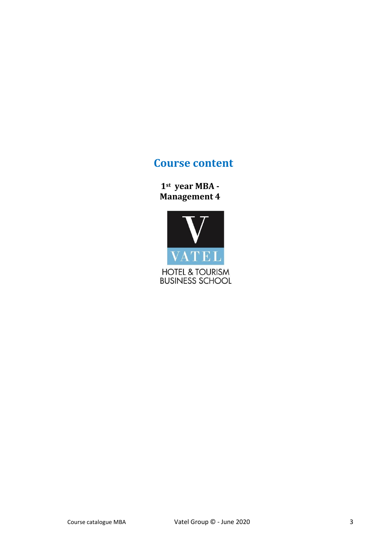## **Course content**

**1st year MBA - Management 4**

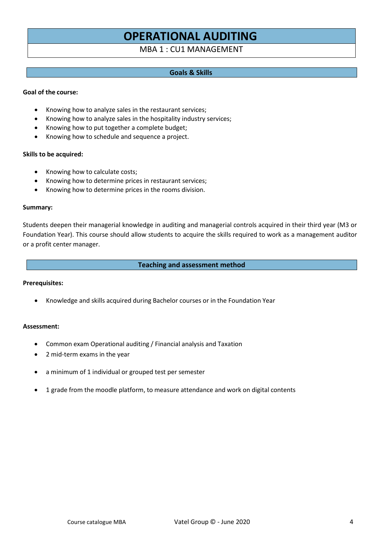# **OPERATIONAL AUDITING**

## MBA 1 : CU1 MANAGEMENT

## **Goals & Skills**

#### **Goal of the course:**

- Knowing how to analyze sales in the restaurant services;
- Knowing how to analyze sales in the hospitality industry services;
- Knowing how to put together a complete budget;
- Knowing how to schedule and sequence a project.

#### **Skills to be acquired:**

- Knowing how to calculate costs;
- Knowing how to determine prices in restaurant services;
- Knowing how to determine prices in the rooms division.

#### **Summary:**

Students deepen their managerial knowledge in auditing and managerial controls acquired in their third year (M3 or Foundation Year). This course should allow students to acquire the skills required to work as a management auditor or a profit center manager.

#### **Teaching and assessment method**

#### **Prerequisites:**

• Knowledge and skills acquired during Bachelor courses or in the Foundation Year

#### **Assessment:**

- Common exam Operational auditing / Financial analysis and Taxation
- 2 mid-term exams in the year
- a minimum of 1 individual or grouped test per semester
- 1 grade from the moodle platform, to measure attendance and work on digital contents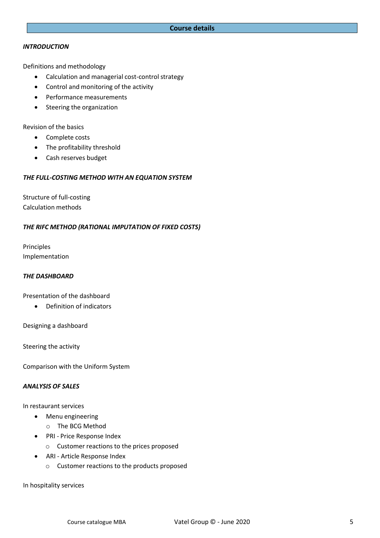## *INTRODUCTION*

Definitions and methodology

- Calculation and managerial cost-control strategy
- Control and monitoring of the activity
- Performance measurements
- Steering the organization

Revision of the basics

- Complete costs
- The profitability threshold
- Cash reserves budget

#### *THE FULL-COSTING METHOD WITH AN EQUATION SYSTEM*

Structure of full-costing Calculation methods

## *THE RIFC METHOD (RATIONAL IMPUTATION OF FIXED COSTS)*

Principles Implementation

#### *THE DASHBOARD*

#### Presentation of the dashboard

• Definition of indicators

Designing a dashboard

Steering the activity

Comparison with the Uniform System

#### *ANALYSIS OF SALES*

In restaurant services

- Menu engineering
	- o The BCG Method
- PRI Price Response Index
	- o Customer reactions to the prices proposed
- ARI Article Response Index
	- o Customer reactions to the products proposed

In hospitality services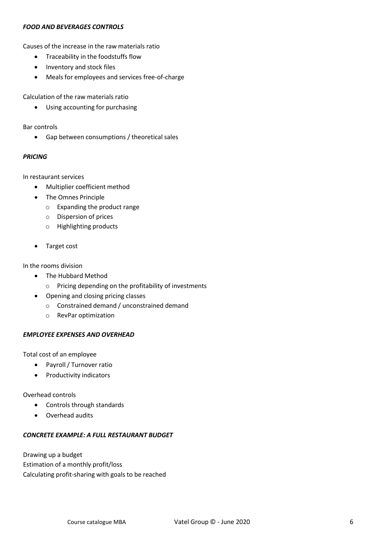### *FOOD AND BEVERAGES CONTROLS*

Causes of the increase in the raw materials ratio

- Traceability in the foodstuffs flow
- Inventory and stock files
- Meals for employees and services free-of-charge

Calculation of the raw materials ratio

• Using accounting for purchasing

Bar controls

• Gap between consumptions / theoretical sales

#### *PRICING*

In restaurant services

- Multiplier coefficient method
- The Omnes Principle
	- o Expanding the product range
	- o Dispersion of prices
	- o Highlighting products
- Target cost

In the rooms division

- The Hubbard Method
	- o Pricing depending on the profitability of investments
- Opening and closing pricing classes
	- o Constrained demand / unconstrained demand
	- o RevPar optimization

#### *EMPLOYEE EXPENSES AND OVERHEAD*

Total cost of an employee

- Payroll/ Turnover ratio
- Productivity indicators

Overhead controls

- Controls through standards
- Overhead audits

#### *CONCRETE EXAMPLE: A FULL RESTAURANT BUDGET*

Drawing up a budget Estimation of a monthly profit/loss Calculating profit-sharing with goals to be reached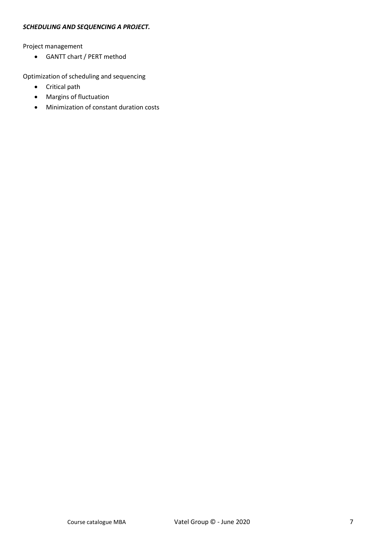### *SCHEDULING AND SEQUENCING A PROJECT.*

Project management

• GANTT chart / PERT method

Optimization of scheduling and sequencing

- Critical path
- Margins of fluctuation
- Minimization of constant duration costs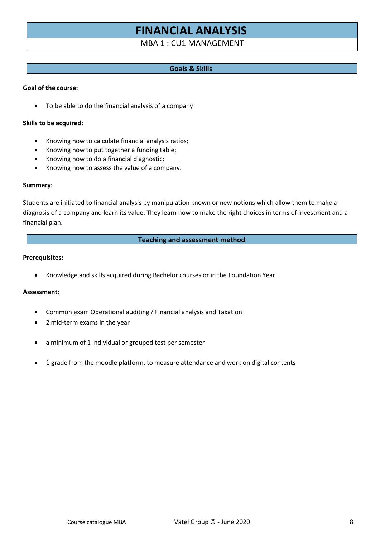# **FINANCIAL ANALYSIS**

MBA 1 : CU1 MANAGEMENT

## **Goals & Skills**

#### **Goal of the course:**

• To be able to do the financial analysis of a company

#### **Skills to be acquired:**

- Knowing how to calculate financial analysis ratios;
- Knowing how to put together a funding table;
- Knowing how to do a financial diagnostic;
- Knowing how to assess the value of a company.

#### **Summary:**

Students are initiated to financial analysis by manipulation known or new notions which allow them to make a diagnosis of a company and learn its value. They learn how to make the right choices in terms of investment and a financial plan.

#### **Teaching and assessment method**

#### **Prerequisites:**

• Knowledge and skills acquired during Bachelor courses or in the Foundation Year

#### **Assessment:**

- Common exam Operational auditing / Financial analysis and Taxation
- 2 mid-term exams in the year
- a minimum of 1 individual or grouped test per semester
- 1 grade from the moodle platform, to measure attendance and work on digital contents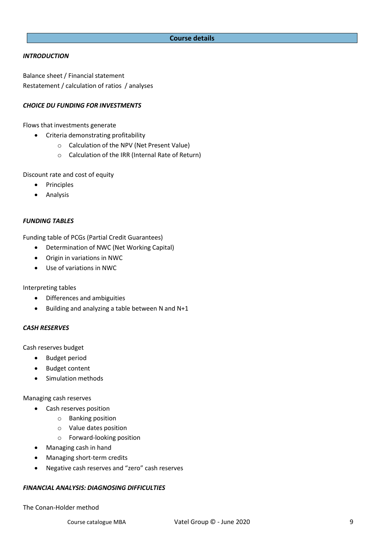#### **Course details**

#### *INTRODUCTION*

Balance sheet / Financial statement Restatement / calculation of ratios / analyses

## *CHOICE DU FUNDING FOR INVESTMENTS*

Flows that investments generate

- Criteria demonstrating profitability
	- o Calculation of the NPV (Net Present Value)
	- o Calculation of the IRR (Internal Rate of Return)

Discount rate and cost of equity

- Principles
- Analysis

#### *FUNDING TABLES*

Funding table of PCGs (Partial Credit Guarantees)

- Determination of NWC (Net Working Capital)
- Origin in variations in NWC
- Use of variations in NWC

Interpreting tables

- Differences and ambiguities
- Building and analyzing a table between N and N+1

#### *CASH RESERVES*

Cash reserves budget

- Budget period
- Budget content
- Simulation methods

Managing cash reserves

- Cash reserves position
	- o Banking position
	- o Value dates position
	- o Forward-looking position
- Managing cash in hand
- Managing short-term credits
- Negative cash reserves and "zero" cash reserves

#### *FINANCIAL ANALYSIS: DIAGNOSING DIFFICULTIES*

The Conan-Holder method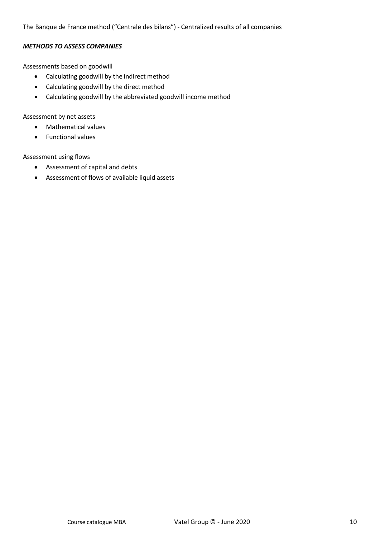The Banque de France method ("Centrale des bilans") - Centralized results of all companies

#### *METHODS TO ASSESS COMPANIES*

Assessments based on goodwill

- Calculating goodwill by the indirect method
- Calculating goodwill by the direct method
- Calculating goodwill by the abbreviated goodwill income method

Assessment by net assets

- Mathematical values
- Functional values

Assessment using flows

- Assessment of capital and debts
- Assessment of flows of available liquid assets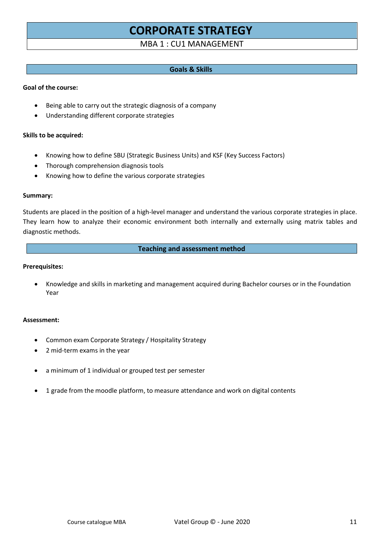# **CORPORATE STRATEGY**

## MBA 1 : CU1 MANAGEMENT

### **Goals & Skills**

#### **Goal of the course:**

- Being able to carry out the strategic diagnosis of a company
- Understanding different corporate strategies

#### **Skills to be acquired:**

- Knowing how to define SBU (Strategic Business Units) and KSF (Key Success Factors)
- Thorough comprehension diagnosis tools
- Knowing how to define the various corporate strategies

#### **Summary:**

Students are placed in the position of a high-level manager and understand the various corporate strategies in place. They learn how to analyze their economic environment both internally and externally using matrix tables and diagnostic methods.

#### **Teaching and assessment method**

#### **Prerequisites:**

• Knowledge and skills in marketing and management acquired during Bachelor courses or in the Foundation Year

#### **Assessment:**

- Common exam Corporate Strategy / Hospitality Strategy
- 2 mid-term exams in the year
- a minimum of 1 individual or grouped test per semester
- 1 grade from the moodle platform, to measure attendance and work on digital contents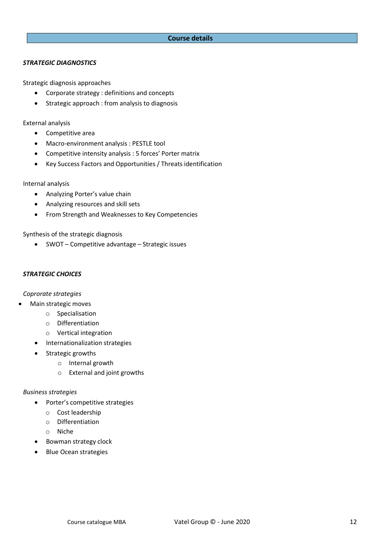## **Course details**

#### *STRATEGIC DIAGNOSTICS*

Strategic diagnosis approaches

- Corporate strategy : definitions and concepts
- Strategic approach : from analysis to diagnosis

External analysis

- Competitive area
- Macro-environment analysis : PESTLE tool
- Competitive intensity analysis : 5 forces' Porter matrix
- Key Success Factors and Opportunities / Threats identification

#### Internal analysis

- Analyzing Porter's value chain
- Analyzing resources and skill sets
- From Strength and Weaknesses to Key Competencies

Synthesis of the strategic diagnosis

• SWOT – Competitive advantage – Strategic issues

#### *STRATEGIC CHOICES*

*Coprorate strategies*

- Main strategic moves
	- o Specialisation
	- o Differentiation
	- o Vertical integration
	- Internationalization strategies
	- Strategic growths
		- o Internal growth
		- o External and joint growths

#### *Business strategies*

- Porter's competitive strategies
	- o Cost leadership
	- o Differentiation
	- o Niche
- Bowman strategy clock
- Blue Ocean strategies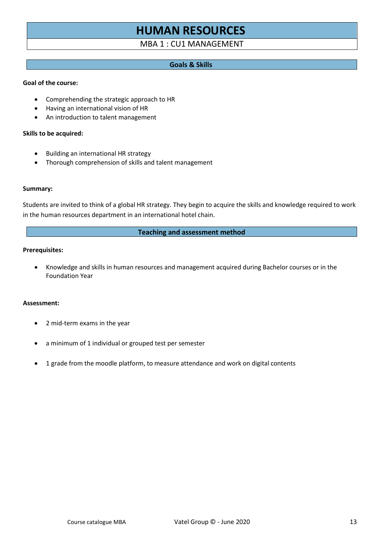# **HUMAN RESOURCES**

## MBA 1 : CU1 MANAGEMENT

#### **Goals & Skills**

#### **Goal of the course:**

- Comprehending the strategic approach to HR
- Having an international vision of HR
- An introduction to talent management

#### **Skills to be acquired:**

- Building an international HR strategy
- Thorough comprehension of skills and talent management

#### **Summary:**

Students are invited to think of a global HR strategy. They begin to acquire the skills and knowledge required to work in the human resources department in an international hotel chain.

#### **Teaching and assessment method**

### **Prerequisites:**

• Knowledge and skills in human resources and management acquired during Bachelor courses or in the Foundation Year

#### **Assessment:**

- 2 mid-term exams in the year
- a minimum of 1 individual or grouped test per semester
- 1 grade from the moodle platform, to measure attendance and work on digital contents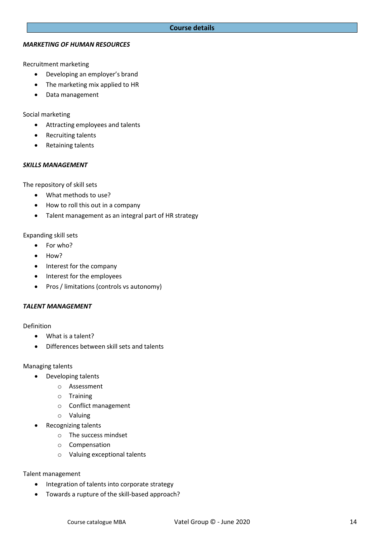#### *MARKETING OF HUMAN RESOURCES*

Recruitment marketing

- Developing an employer's brand
- The marketing mix applied to HR
- Data management

Social marketing

- Attracting employees and talents
- Recruiting talents
- Retaining talents

## *SKILLS MANAGEMENT*

The repository of skill sets

- What methods to use?
- How to roll this out in a company
- Talent management as an integral part of HR strategy

Expanding skill sets

- For who?
- How?
- Interest for the company
- Interest for the employees
- Pros / limitations (controls vs autonomy)

## *TALENT MANAGEMENT*

Definition

- What is a talent?
- Differences between skill sets and talents

## Managing talents

- Developing talents
	- o Assessment
	- o Training
	- o Conflict management
	- o Valuing
- Recognizing talents
	- o The success mindset
	- o Compensation
	- o Valuing exceptional talents

## Talent management

- Integration of talents into corporate strategy
- Towards a rupture of the skill-based approach?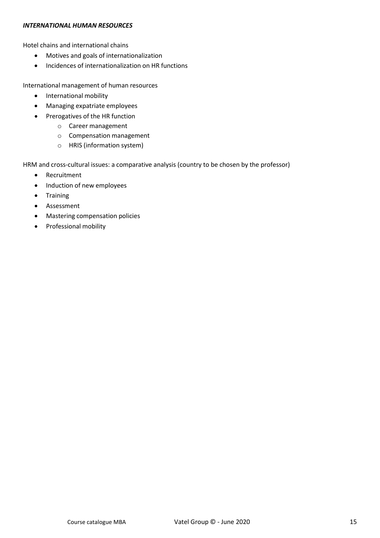#### *INTERNATIONAL HUMAN RESOURCES*

Hotel chains and international chains

- Motives and goals of internationalization
- Incidences of internationalization on HR functions

International management of human resources

- International mobility
- Managing expatriate employees
- Prerogatives of the HR function
	- o Career management
	- o Compensation management
	- o HRIS (information system)

HRM and cross-cultural issues: a comparative analysis (country to be chosen by the professor)

- Recruitment
- Induction of new employees
- Training
- Assessment
- Mastering compensation policies
- Professional mobility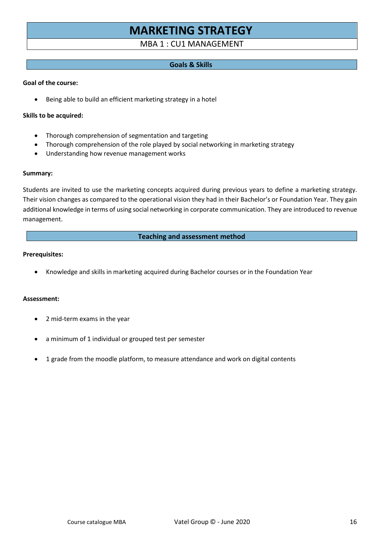# **MARKETING STRATEGY**

## MBA 1 : CU1 MANAGEMENT

### **Goals & Skills**

#### **Goal of the course:**

• Being able to build an efficient marketing strategy in a hotel

#### **Skills to be acquired:**

- Thorough comprehension of segmentation and targeting
- Thorough comprehension of the role played by social networking in marketing strategy
- Understanding how revenue management works

#### **Summary:**

Students are invited to use the marketing concepts acquired during previous years to define a marketing strategy. Their vision changes as compared to the operational vision they had in their Bachelor's or Foundation Year. They gain additional knowledge in terms of using social networking in corporate communication. They are introduced to revenue management.

#### **Teaching and assessment method**

#### **Prerequisites:**

• Knowledge and skills in marketing acquired during Bachelor courses or in the Foundation Year

#### **Assessment:**

- 2 mid-term exams in the year
- a minimum of 1 individual or grouped test per semester
- 1 grade from the moodle platform, to measure attendance and work on digital contents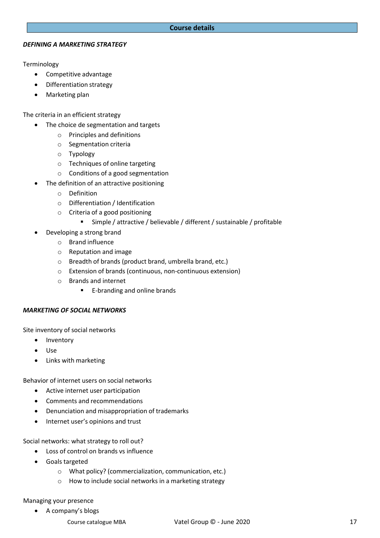#### **Course details**

#### *DEFINING A MARKETING STRATEGY*

Terminology

- Competitive advantage
- Differentiation strategy
- Marketing plan

The criteria in an efficient strategy

- The choice de segmentation and targets
	- o Principles and definitions
	- o Segmentation criteria
	- o Typology
	- o Techniques of online targeting
	- o Conditions of a good segmentation
- The definition of an attractive positioning
	- o Definition
	- o Differentiation / Identification
	- o Criteria of a good positioning
		- Simple / attractive / believable / different / sustainable / profitable
	- Developing a strong brand
		- o Brand influence
		- o Reputation and image
		- o Breadth of brands (product brand, umbrella brand, etc.)
		- o Extension of brands (continuous, non-continuous extension)
		- o Brands and internet
			- E-branding and online brands

## *MARKETING OF SOCIAL NETWORKS*

Site inventory of social networks

- Inventory
- Use
- Links with marketing

Behavior of internet users on social networks

- Active internet user participation
- Comments and recommendations
- Denunciation and misappropriation of trademarks
- Internet user's opinions and trust

Social networks: what strategy to roll out?

- Loss of control on brands vs influence
- Goals targeted
	- o What policy? (commercialization, communication, etc.)
	- o How to include social networks in a marketing strategy

## Managing your presence

• A company's blogs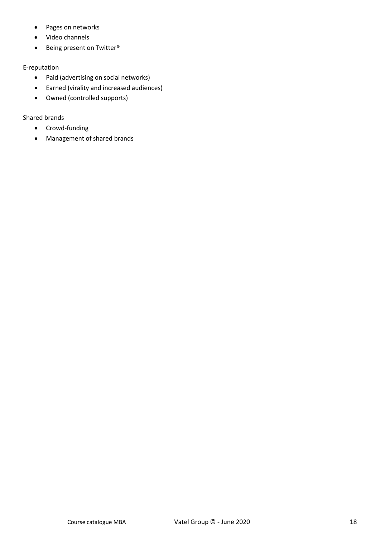- Pages on networks
- Video channels
- Being present on Twitter®

## E-reputation

- Paid (advertising on social networks)
- Earned (virality and increased audiences)
- Owned (controlled supports)

## Shared brands

- Crowd-funding
- Management of shared brands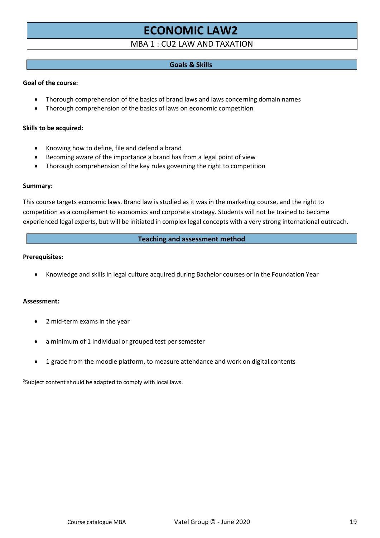# **ECONOMIC LA[W2](#page-18-0)**

## MBA 1 : CU2 LAW AND TAXATION

## **Goals & Skills**

#### **Goal of the course:**

- Thorough comprehension of the basics of brand laws and laws concerning domain names
- Thorough comprehension of the basics of laws on economic competition

#### **Skills to be acquired:**

- Knowing how to define, file and defend a brand
- Becoming aware of the importance a brand has from a legal point of view
- Thorough comprehension of the key rules governing the right to competition

#### **Summary:**

This course targets economic laws. Brand law is studied as it was in the marketing course, and the right to competition as a complement to economics and corporate strategy. Students will not be trained to become experienced legal experts, but will be initiated in complex legal concepts with a very strong international outreach.

#### **Teaching and assessment method**

#### **Prerequisites:**

• Knowledge and skills in legal culture acquired during Bachelor courses or in the Foundation Year

#### **Assessment:**

- 2 mid-term exams in the year
- a minimum of 1 individual or grouped test per semester
- 1 grade from the moodle platform, to measure attendance and work on digital contents

<span id="page-18-0"></span><sup>2</sup>Subject content should be adapted to comply with local laws.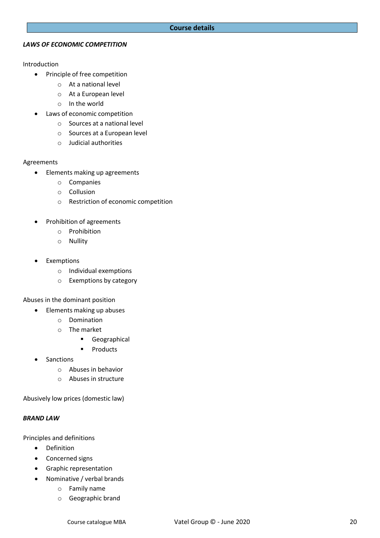#### *LAWS OF ECONOMIC COMPETITION*

#### Introduction

- Principle of free competition
	- o At a national level
	- o At a European level
	- o In the world
- Laws of economic competition
	- o Sources at a national level
	- o Sources at a European level
	- o Judicial authorities

#### Agreements

- Elements making up agreements
	- o Companies
	- o Collusion
	- o Restriction of economic competition
- Prohibition of agreements
	- o Prohibition
	- o Nullity
- **Exemptions** 
	- o Individual exemptions
	- o Exemptions by category

Abuses in the dominant position

- Elements making up abuses
	- o Domination
	- o The market
		- Geographical
		- Products
- **Sanctions** 
	- o Abuses in behavior
	- o Abuses in structure

Abusively low prices (domestic law)

#### *BRAND LAW*

Principles and definitions

- Definition
- Concerned signs
- Graphic representation
- Nominative / verbal brands
	- o Family name
	- o Geographic brand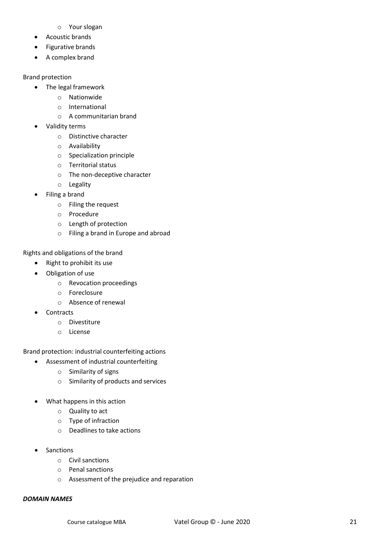- o Your slogan
- Acoustic brands
- Figurative brands
- A complex brand

### Brand protection

- The legal framework
	- o Nationwide
	- o International
	- o A communitarian brand
- Validity terms
	- o Distinctive character
	- o Availability
	- o Specialization principle
	- o Territorial status
	- o The non-deceptive character
	- o Legality
- Filing a brand
	- o Filing the request
	- o Procedure
	- o Length of protection
	- o Filing a brand in Europe and abroad

Rights and obligations of the brand

- Right to prohibit its use
- Obligation of use
	- o Revocation proceedings
	- o Foreclosure
	- o Absence of renewal
- Contracts
	- o Divestiture
	- o License

Brand protection: industrial counterfeiting actions

- Assessment of industrial counterfeiting
	- o Similarity of signs
	- o Similarity of products and services
- What happens in this action
	- o Quality to act
	- o Type of infraction
	- o Deadlines to take actions
- **Sanctions** 
	- o Civil sanctions
	- o Penal sanctions
	- o Assessment of the prejudice and reparation

#### *DOMAIN NAMES*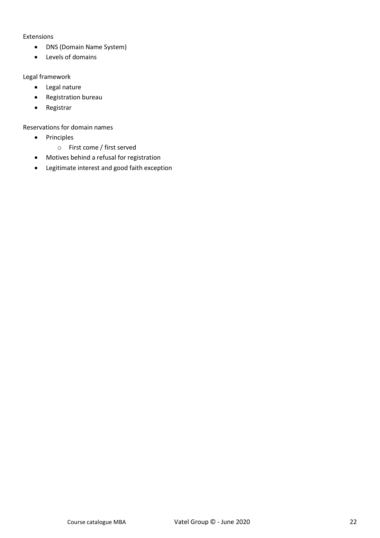#### Extensions

- DNS (Domain Name System)
- Levels of domains

## Legal framework

- Legal nature
- Registration bureau
- Registrar

## Reservations for domain names

- Principles
	- o First come / first served
- Motives behind a refusal for registration
- Legitimate interest and good faith exception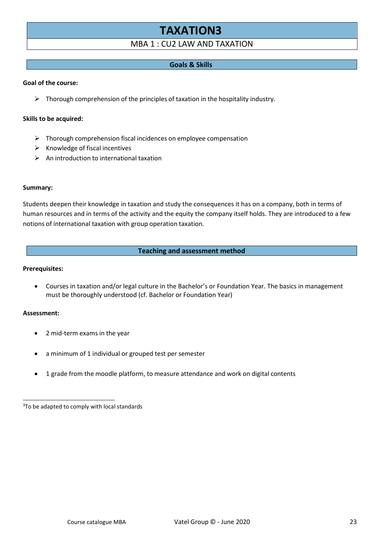# **TAXATIO[N3](#page-22-0)**

## MBA 1 : CU2 LAW AND TAXATION

## **Goals & Skills**

#### **Goal of the course:**

 $\triangleright$  Thorough comprehension of the principles of taxation in the hospitality industry.

#### **Skills to be acquired:**

- ➢ Thorough comprehension fiscal incidences on employee compensation
- $\triangleright$  Knowledge of fiscal incentives
- $\triangleright$  An introduction to international taxation

#### **Summary:**

Students deepen their knowledge in taxation and study the consequences it has on a company, both in terms of human resources and in terms of the activity and the equity the company itself holds. They are introduced to a few notions of international taxation with group operation taxation.

#### **Teaching and assessment method**

#### **Prerequisites:**

• Courses in taxation and/or legal culture in the Bachelor's or Foundation Year. The basics in management must be thoroughly understood (cf. Bachelor or Foundation Year)

#### **Assessment:**

- 2 mid-term exams in the year
- a minimum of 1 individual or grouped test per semester
- 1 grade from the moodle platform, to measure attendance and work on digital contents

<span id="page-22-0"></span><sup>&</sup>lt;sup>3</sup>To be adapted to comply with local standards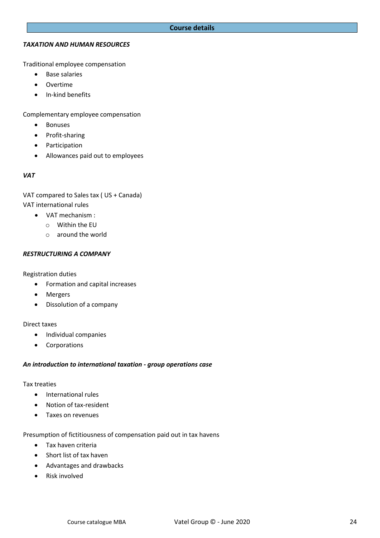#### **Course details**

#### *TAXATION AND HUMAN RESOURCES*

Traditional employee compensation

- Base salaries
- Overtime
- In-kind benefits

Complementary employee compensation

- Bonuses
- Profit-sharing
- Participation
- Allowances paid out to employees

#### *VAT*

VAT compared to Sales tax ( US + Canada) VAT international rules

- VAT mechanism :
	- o Within the EU
	- o around the world

#### *RESTRUCTURING A COMPANY*

Registration duties

- Formation and capital increases
- Mergers
- Dissolution of a company

#### Direct taxes

- Individual companies
- Corporations

#### *An introduction to international taxation - group operations case*

#### Tax treaties

- International rules
- Notion of tax-resident
- Taxes on revenues

Presumption of fictitiousness of compensation paid out in tax havens

- Tax haven criteria
- Short list of tax haven
- Advantages and drawbacks
- Risk involved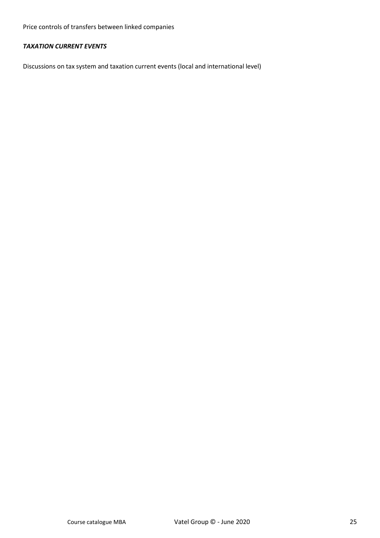Price controls of transfers between linked companies

## *TAXATION CURRENT EVENTS*

Discussions on tax system and taxation current events (local and international level)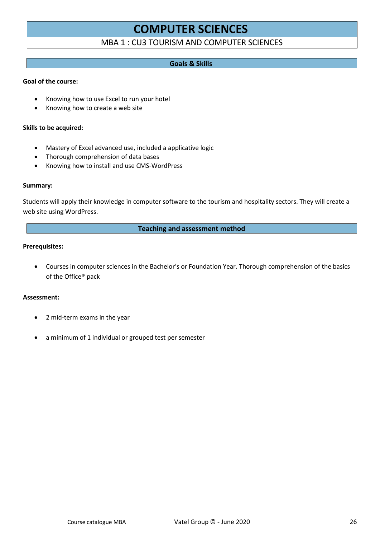## **COMPUTER SCIENCES**

## MBA 1 : CU3 TOURISM AND COMPUTER SCIENCES

## **Goals & Skills**

### **Goal of the course:**

- Knowing how to use Excel to run your hotel
- Knowing how to create a web site

#### **Skills to be acquired:**

- Mastery of Excel advanced use, included a applicative logic
- Thorough comprehension of data bases
- Knowing how to install and use CMS-WordPress

#### **Summary:**

Students will apply their knowledge in computer software to the tourism and hospitality sectors. They will create a web site using WordPress.

#### **Teaching and assessment method**

#### **Prerequisites:**

• Courses in computer sciences in the Bachelor's or Foundation Year. Thorough comprehension of the basics of the Office® pack

#### **Assessment:**

- 2 mid-term exams in the year
- a minimum of 1 individual or grouped test per semester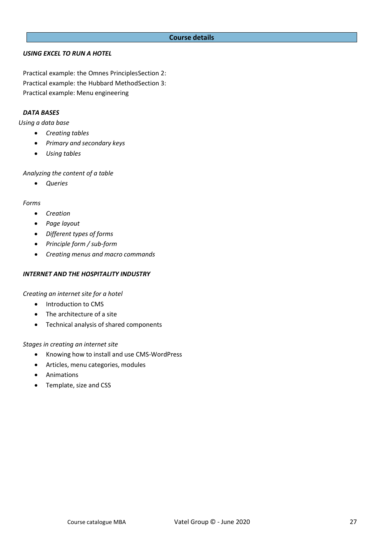#### **Course details**

#### *USING EXCEL TO RUN A HOTEL*

Practical example: the Omnes PrinciplesSection 2: Practical example: the Hubbard MethodSection 3: Practical example: Menu engineering

#### *DATA BASES*

*Using a data base*

- *Creating tables*
- *Primary and secondary keys*
- *Using tables*

*Analyzing the content of a table*

• *Queries*

#### *Forms*

- *Creation*
- *Page layout*
- *Different types of forms*
- *Principle form / sub-form*
- *Creating menus and macro commands*

#### *INTERNET AND THE HOSPITALITY INDUSTRY*

*Creating an internet site for a hotel*

- Introduction to CMS
- The architecture of a site
- Technical analysis of shared components

#### *Stages in creating an internet site*

- Knowing how to install and use CMS-WordPress
- Articles, menu categories, modules
- Animations
- Template, size and CSS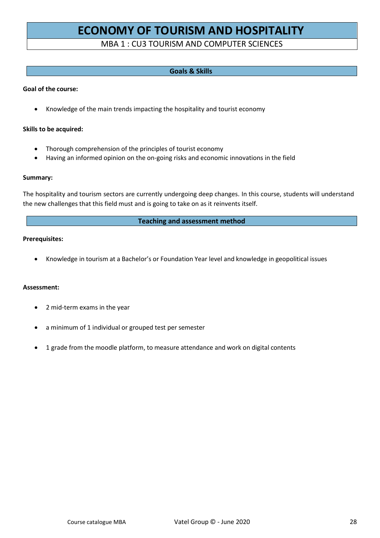# **ECONOMY OF TOURISM AND HOSPITALITY**

## MBA 1 : CU3 TOURISM AND COMPUTER SCIENCES

### **Goals & Skills**

#### **Goal of the course:**

• Knowledge of the main trends impacting the hospitality and tourist economy

#### **Skills to be acquired:**

- Thorough comprehension of the principles of tourist economy
- Having an informed opinion on the on-going risks and economic innovations in the field

#### **Summary:**

The hospitality and tourism sectors are currently undergoing deep changes. In this course, students will understand the new challenges that this field must and is going to take on as it reinvents itself.

#### **Teaching and assessment method**

#### **Prerequisites:**

• Knowledge in tourism at a Bachelor's or Foundation Year level and knowledge in geopolitical issues

#### **Assessment:**

- 2 mid-term exams in the year
- a minimum of 1 individual or grouped test per semester
- 1 grade from the moodle platform, to measure attendance and work on digital contents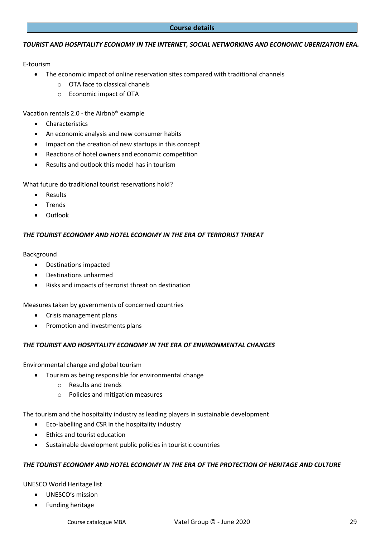#### **Course details**

#### *TOURIST AND HOSPITALITY ECONOMY IN THE INTERNET, SOCIAL NETWORKING AND ECONOMIC UBERIZATION ERA.*

#### E-tourism

- The economic impact of online reservation sites compared with traditional channels
	- o OTA face to classical chanels
	- o Economic impact of OTA

Vacation rentals 2.0 - the Airbnb® example

- Characteristics
- An economic analysis and new consumer habits
- Impact on the creation of new startups in this concept
- Reactions of hotel owners and economic competition
- Results and outlook this model has in tourism

What future do traditional tourist reservations hold?

- **Results**
- Trends
- Outlook

#### *THE TOURIST ECONOMY AND HOTEL ECONOMY IN THE ERA OF TERRORIST THREAT*

#### Background

- Destinations impacted
- Destinations unharmed
- Risks and impacts of terrorist threat on destination

Measures taken by governments of concerned countries

- Crisis management plans
- Promotion and investments plans

#### *THE TOURIST AND HOSPITALITY ECONOMY IN THE ERA OF ENVIRONMENTAL CHANGES*

Environmental change and global tourism

- Tourism as being responsible for environmental change
	- o Results and trends
	- o Policies and mitigation measures

The tourism and the hospitality industry as leading players in sustainable development

- Eco-labelling and CSR in the hospitality industry
- Ethics and tourist education
- Sustainable development public policies in touristic countries

#### *THE TOURIST ECONOMY AND HOTEL ECONOMY IN THE ERA OF THE PROTECTION OF HERITAGE AND CULTURE*

#### UNESCO World Heritage list

- UNESCO's mission
- Funding heritage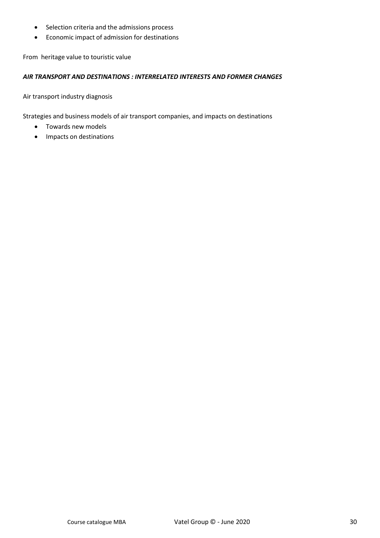- Selection criteria and the admissions process
- Economic impact of admission for destinations

From heritage value to touristic value

#### *AIR TRANSPORT AND DESTINATIONS : INTERRELATED INTERESTS AND FORMER CHANGES*

Air transport industry diagnosis

Strategies and business models of air transport companies, and impacts on destinations

- Towards new models
- Impacts on destinations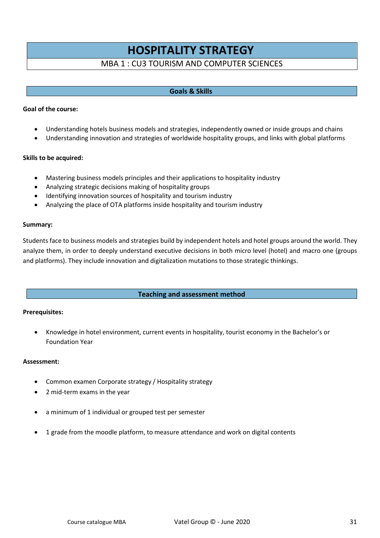## **HOSPITALITY STRATEGY**

## MBA 1 : CU3 TOURISM AND COMPUTER SCIENCES

### **Goals & Skills**

#### **Goal of the course:**

- Understanding hotels business models and strategies, independently owned or inside groups and chains
- Understanding innovation and strategies of worldwide hospitality groups, and links with global platforms

#### **Skills to be acquired:**

- Mastering business models principles and their applications to hospitality industry
- Analyzing strategic decisions making of hospitality groups
- Identifying innovation sources of hospitality and tourism industry
- Analyzing the place of OTA platforms inside hospitality and tourism industry

#### **Summary:**

Students face to business models and strategies build by independent hotels and hotel groups around the world. They analyze them, in order to deeply understand executive decisions in both micro level (hotel) and macro one (groups and platforms). They include innovation and digitalization mutations to those strategic thinkings.

#### **Teaching and assessment method**

#### **Prerequisites:**

• Knowledge in hotel environment, current events in hospitality, tourist economy in the Bachelor's or Foundation Year

#### **Assessment:**

- Common examen Corporate strategy / Hospitality strategy
- 2 mid-term exams in the year
- a minimum of 1 individual or grouped test per semester
- 1 grade from the moodle platform, to measure attendance and work on digital contents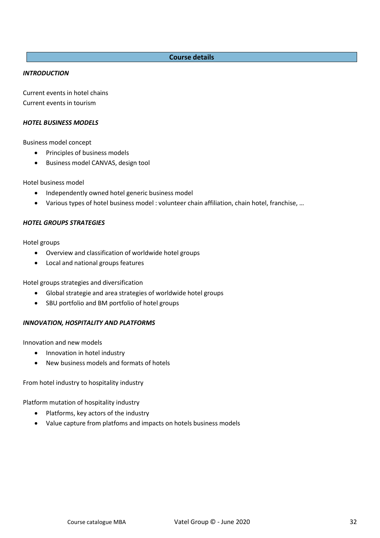### **Course details**

#### *INTRODUCTION*

Current events in hotel chains Current events in tourism

#### *HOTEL BUSINESS MODELS*

Business model concept

- Principles of business models
- Business model CANVAS, design tool

Hotel business model

- Independently owned hotel generic business model
- Various types of hotel business model : volunteer chain affiliation, chain hotel, franchise, …

#### *HOTEL GROUPS STRATEGIES*

Hotel groups

- Overview and classification of worldwide hotel groups
- Local and national groups features

Hotel groups strategies and diversification

- Global strategie and area strategies of worldwide hotel groups
- SBU portfolio and BM portfolio of hotel groups

#### *INNOVATION, HOSPITALITY AND PLATFORMS*

Innovation and new models

- Innovation in hotel industry
- New business models and formats of hotels

From hotel industry to hospitality industry

Platform mutation of hospitality industry

- Platforms, key actors of the industry
- Value capture from platfoms and impacts on hotels business models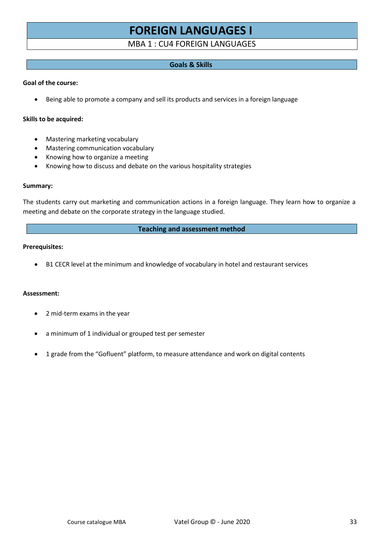# **FOREIGN LANGUAGES I**

## MBA 1 : CU4 FOREIGN LANGUAGES

#### **Goals & Skills**

#### **Goal of the course:**

• Being able to promote a company and sell its products and services in a foreign language

#### **Skills to be acquired:**

- Mastering marketing vocabulary
- Mastering communication vocabulary
- Knowing how to organize a meeting
- Knowing how to discuss and debate on the various hospitality strategies

#### **Summary:**

The students carry out marketing and communication actions in a foreign language. They learn how to organize a meeting and debate on the corporate strategy in the language studied.

#### **Teaching and assessment method**

#### **Prerequisites:**

• B1 CECR level at the minimum and knowledge of vocabulary in hotel and restaurant services

#### **Assessment:**

- 2 mid-term exams in the year
- a minimum of 1 individual or grouped test per semester
- 1 grade from the "Gofluent" platform, to measure attendance and work on digital contents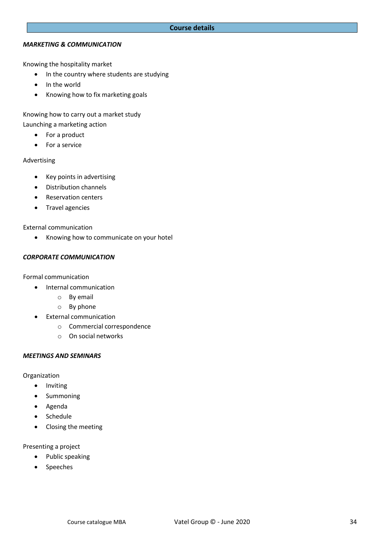### *MARKETING & COMMUNICATION*

Knowing the hospitality market

- In the country where students are studying
- In the world
- Knowing how to fix marketing goals

Knowing how to carry out a market study Launching a marketing action

- For a product
- For a service

#### Advertising

- Key points in advertising
- Distribution channels
- Reservation centers
- Travel agencies

External communication

• Knowing how to communicate on your hotel

## *CORPORATE COMMUNICATION*

Formal communication

- Internal communication
	- o By email
	- o By phone
- External communication
	- o Commercial correspondence
	- o On social networks

#### *MEETINGS AND SEMINARS*

Organization

- Inviting
- Summoning
- Agenda
- Schedule
- Closing the meeting

#### Presenting a project

- Public speaking
- Speeches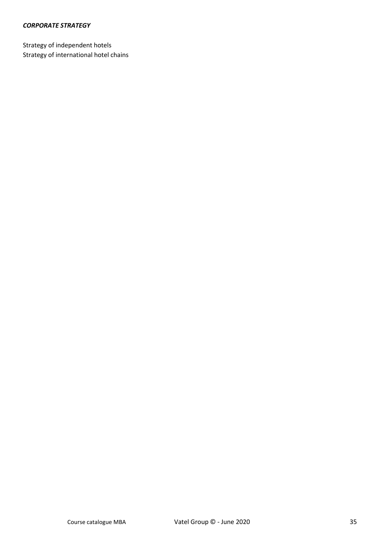## *CORPORATE STRATEGY*

Strategy of independent hotels Strategy of international hotel chains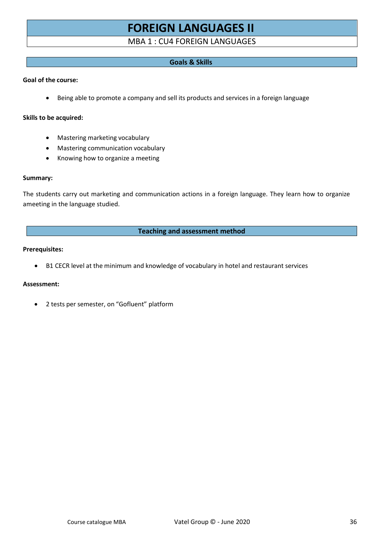# **FOREIGN LANGUAGES II**

## MBA 1 : CU4 FOREIGN LANGUAGES

## **Goals & Skills**

#### **Goal of the course:**

• Being able to promote a company and sell its products and services in a foreign language

#### **Skills to be acquired:**

- Mastering marketing vocabulary
- Mastering communication vocabulary
- Knowing how to organize a meeting

#### **Summary:**

The students carry out marketing and communication actions in a foreign language. They learn how to organize ameeting in the language studied.

#### **Teaching and assessment method**

#### **Prerequisites:**

• B1 CECR level at the minimum and knowledge of vocabulary in hotel and restaurant services

#### **Assessment:**

• 2 tests per semester, on "Gofluent" platform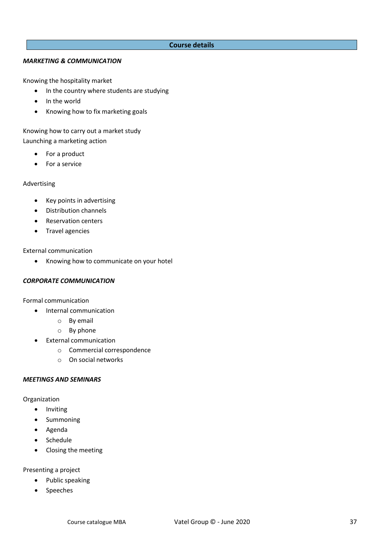#### **Course details**

#### *MARKETING & COMMUNICATION*

Knowing the hospitality market

- In the country where students are studying
- In the world
- Knowing how to fix marketing goals

Knowing how to carry out a market study

Launching a marketing action

- For a product
- For a service

#### Advertising

- Key points in advertising
- Distribution channels
- Reservation centers
- Travel agencies

External communication

• Knowing how to communicate on your hotel

#### *CORPORATE COMMUNICATION*

Formal communication

- Internal communication
	- o By email
	- o By phone
- External communication
	- o Commercial correspondence
	- o On social networks

#### *MEETINGS AND SEMINARS*

Organization

- Inviting
- Summoning
- Agenda
- Schedule
- Closing the meeting

Presenting a project

- Public speaking
- Speeches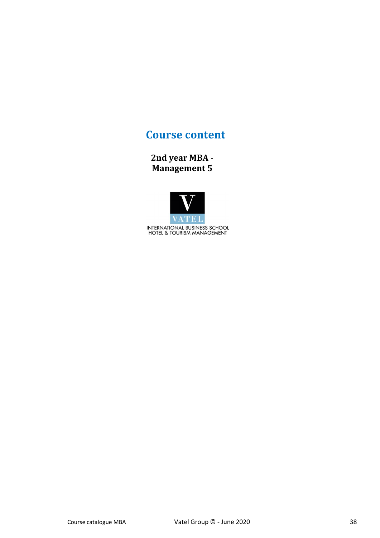## **Course content**

**2nd year MBA - Management 5**

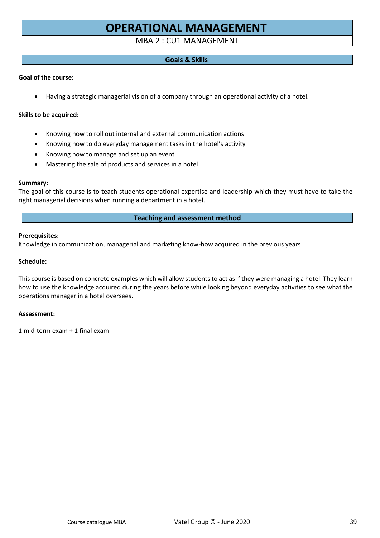# **OPERATIONAL MANAGEMENT**

## MBA 2 : CU1 MANAGEMENT

## **Goals & Skills**

## **Goal of the course:**

• Having a strategic managerial vision of a company through an operational activity of a hotel.

### **Skills to be acquired:**

- Knowing how to roll out internal and external communication actions
- Knowing how to do everyday management tasks in the hotel's activity
- Knowing how to manage and set up an event
- Mastering the sale of products and services in a hotel

#### **Summary:**

The goal of this course is to teach students operational expertise and leadership which they must have to take the right managerial decisions when running a department in a hotel.

## **Teaching and assessment method**

#### **Prerequisites:**

Knowledge in communication, managerial and marketing know-how acquired in the previous years

#### **Schedule:**

This course is based on concrete examples which will allow students to act as if they were managing a hotel. They learn how to use the knowledge acquired during the years before while looking beyond everyday activities to see what the operations manager in a hotel oversees.

#### **Assessment:**

1 mid-term exam + 1 final exam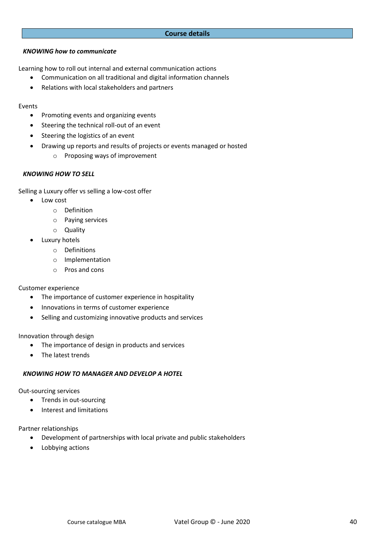#### **Course details**

#### *KNOWING how to communicate*

Learning how to roll out internal and external communication actions

- Communication on all traditional and digital information channels
- Relations with local stakeholders and partners

#### Events

- Promoting events and organizing events
- Steering the technical roll-out of an event
- Steering the logistics of an event
- Drawing up reports and results of projects or events managed or hosted
	- o Proposing ways of improvement

#### *KNOWING HOW TO SELL*

Selling a Luxury offer vs selling a low-cost offer

- Low cost
	- o Definition
	- o Paying services
	- o Quality
	- Luxury hotels
		- o Definitions
		- o Implementation
		- o Pros and cons

#### Customer experience

- The importance of customer experience in hospitality
- Innovations in terms of customer experience
- Selling and customizing innovative products and services

#### Innovation through design

- The importance of design in products and services
- The latest trends

## *KNOWING HOW TO MANAGER AND DEVELOP A HOTEL*

Out-sourcing services

- Trends in out-sourcing
- Interest and limitations

Partner relationships

- Development of partnerships with local private and public stakeholders
- Lobbying actions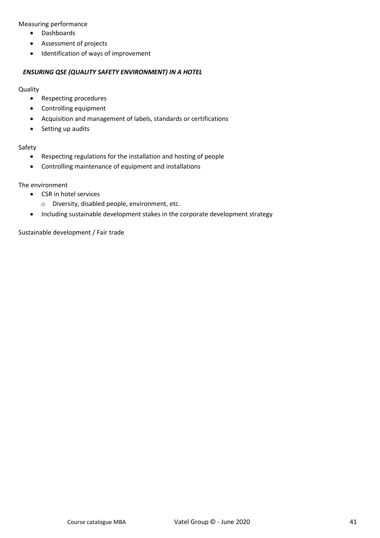Measuring performance

- Dashboards
- Assessment of projects
- Identification of ways of improvement

#### *ENSURING QSE (QUALITY SAFETY ENVIRONMENT) IN A HOTEL*

#### **Quality**

- Respecting procedures
- Controlling equipment
- Acquisition and management of labels, standards or certifications
- Setting up audits

#### Safety

- Respecting regulations for the installation and hosting of people
- Controlling maintenance of equipment and installations

## The environment

- CSR in hotel services
	- o Diversity, disabled people, environment, etc.
- Including sustainable development stakes in the corporate development strategy

Sustainable development / Fair trade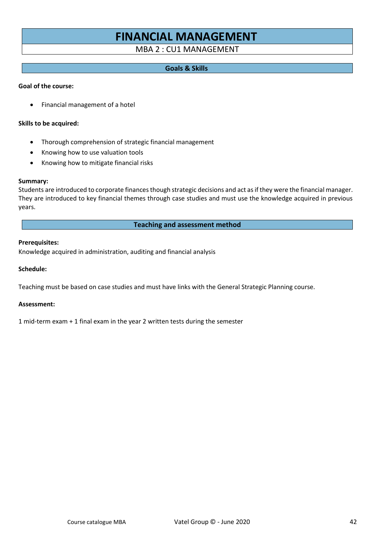# **FINANCIAL MANAGEMENT**

## MBA 2 : CU1 MANAGEMENT

#### **Goals & Skills**

#### **Goal of the course:**

• Financial management of a hotel

#### **Skills to be acquired:**

- Thorough comprehension of strategic financial management
- Knowing how to use valuation tools
- Knowing how to mitigate financial risks

#### **Summary:**

Students are introduced to corporate finances though strategic decisions and act as if they were the financial manager. They are introduced to key financial themes through case studies and must use the knowledge acquired in previous years.

### **Teaching and assessment method**

#### **Prerequisites:**

Knowledge acquired in administration, auditing and financial analysis

#### **Schedule:**

Teaching must be based on case studies and must have links with the General Strategic Planning course.

#### **Assessment:**

1 mid-term exam + 1 final exam in the year 2 written tests during the semester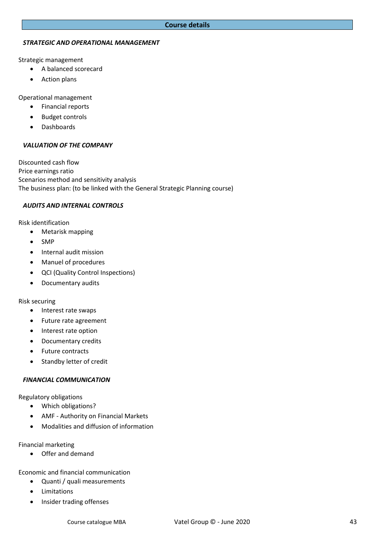#### *STRATEGIC AND OPERATIONAL MANAGEMENT*

Strategic management

- A balanced scorecard
- Action plans

Operational management

- Financial reports
- Budget controls
- Dashboards

#### *VALUATION OF THE COMPANY*

Discounted cash flow Price earnings ratio Scenarios method and sensitivity analysis The business plan: (to be linked with the General Strategic Planning course)

#### *AUDITS AND INTERNAL CONTROLS*

Risk identification

- Metarisk mapping
- SMP
- Internal audit mission
- Manuel of procedures
- QCI (Quality Control Inspections)
- Documentary audits

Risk securing

- Interest rate swaps
- Future rate agreement
- Interest rate option
- Documentary credits
- Future contracts
- Standby letter of credit

#### *FINANCIAL COMMUNICATION*

Regulatory obligations

- Which obligations?
- AMF Authority on Financial Markets
- Modalities and diffusion of information

Financial marketing

• Offer and demand

Economic and financial communication

- Quanti / quali measurements
- Limitations
- Insider trading offenses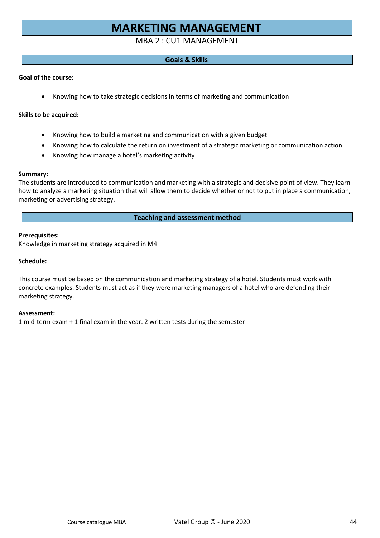# **MARKETING MANAGEMENT**

## MBA 2 : CU1 MANAGEMENT

## **Goals & Skills**

#### **Goal of the course:**

• Knowing how to take strategic decisions in terms of marketing and communication

#### **Skills to be acquired:**

- Knowing how to build a marketing and communication with a given budget
- Knowing how to calculate the return on investment of a strategic marketing or communication action
- Knowing how manage a hotel's marketing activity

#### **Summary:**

The students are introduced to communication and marketing with a strategic and decisive point of view. They learn how to analyze a marketing situation that will allow them to decide whether or not to put in place a communication, marketing or advertising strategy.

#### **Teaching and assessment method**

#### **Prerequisites:**

Knowledge in marketing strategy acquired in M4

#### **Schedule:**

This course must be based on the communication and marketing strategy of a hotel. Students must work with concrete examples. Students must act as if they were marketing managers of a hotel who are defending their marketing strategy.

#### **Assessment:**

1 mid-term exam + 1 final exam in the year. 2 written tests during the semester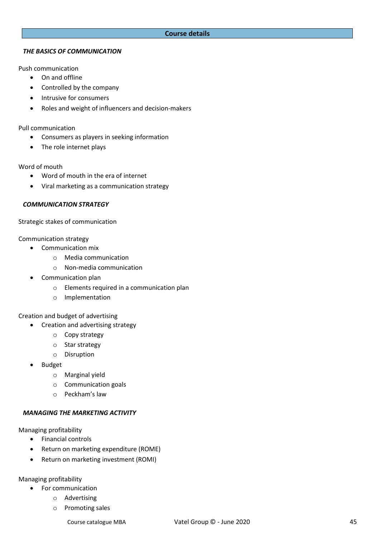#### **Course details**

#### *THE BASICS OF COMMUNICATION*

Push communication

- On and offline
- Controlled by the company
- Intrusive for consumers
- Roles and weight of influencers and decision-makers

Pull communication

- Consumers as players in seeking information
- The role internet plays

#### Word of mouth

- Word of mouth in the era of internet
- Viral marketing as a communication strategy

#### *COMMUNICATION STRATEGY*

Strategic stakes of communication

Communication strategy

- Communication mix
	- o Media communication
	- o Non-media communication
- Communication plan
	- o Elements required in a communication plan
	- o Implementation

#### Creation and budget of advertising

- Creation and advertising strategy
	- o Copy strategy
	- o Star strategy
	- o Disruption
- Budget
	- o Marginal yield
	- o Communication goals
	- o Peckham's law

#### *MANAGING THE MARKETING ACTIVITY*

Managing profitability

- Financial controls
- Return on marketing expenditure (ROME)
- Return on marketing investment (ROMI)

Managing profitability

- For communication
	- o Advertising
	- o Promoting sales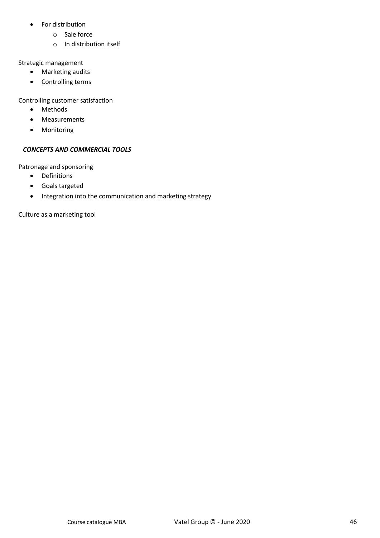- For distribution
	- o Sale force
	- o In distribution itself

## Strategic management

- Marketing audits
- Controlling terms

## Controlling customer satisfaction

- Methods
- Measurements
- Monitoring

## *CONCEPTS AND COMMERCIAL TOOLS*

Patronage and sponsoring

- Definitions
- Goals targeted
- Integration into the communication and marketing strategy

Culture as a marketing tool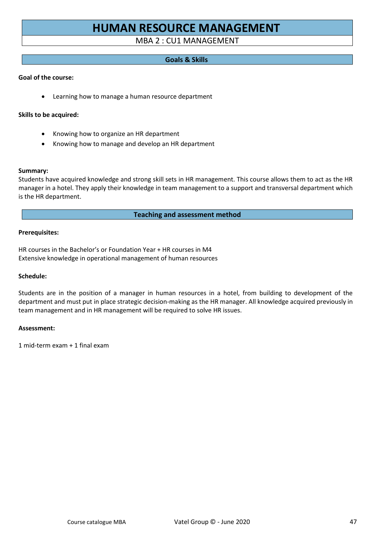# **HUMAN RESOURCE MANAGEMENT**

## MBA 2 : CU1 MANAGEMENT

## **Goals & Skills**

## **Goal of the course:**

• Learning how to manage a human resource department

#### **Skills to be acquired:**

- Knowing how to organize an HR department
- Knowing how to manage and develop an HR department

#### **Summary:**

Students have acquired knowledge and strong skill sets in HR management. This course allows them to act as the HR manager in a hotel. They apply their knowledge in team management to a support and transversal department which is the HR department.

#### **Teaching and assessment method**

#### **Prerequisites:**

HR courses in the Bachelor's or Foundation Year + HR courses in M4 Extensive knowledge in operational management of human resources

#### **Schedule:**

Students are in the position of a manager in human resources in a hotel, from building to development of the department and must put in place strategic decision-making as the HR manager. All knowledge acquired previously in team management and in HR management will be required to solve HR issues.

#### **Assessment:**

1 mid-term exam + 1 final exam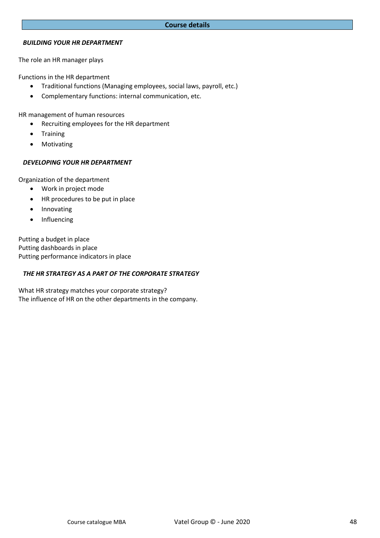#### *BUILDING YOUR HR DEPARTMENT*

The role an HR manager plays

Functions in the HR department

- Traditional functions (Managing employees, social laws, payroll, etc.)
- Complementary functions: internal communication, etc.

HR management of human resources

- Recruiting employees for the HR department
- Training
- Motivating

#### *DEVELOPING YOUR HR DEPARTMENT*

Organization of the department

- Work in project mode
- HR procedures to be put in place
- Innovating
- Influencing

Putting a budget in place Putting dashboards in place Putting performance indicators in place

#### *THE HR STRATEGY AS A PART OF THE CORPORATE STRATEGY*

What HR strategy matches your corporate strategy? The influence of HR on the other departments in the company.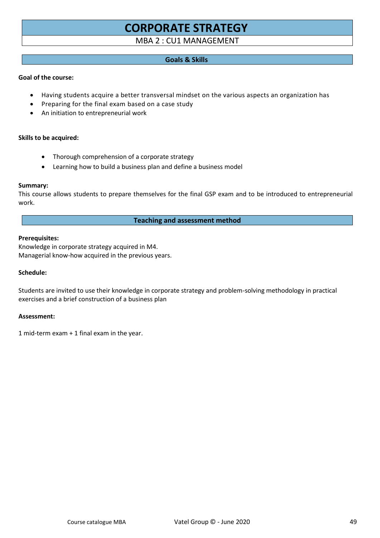# **CORPORATE STRATEGY**

## MBA 2 : CU1 MANAGEMENT

## **Goals & Skills**

#### **Goal of the course:**

- Having students acquire a better transversal mindset on the various aspects an organization has
- Preparing for the final exam based on a case study
- An initiation to entrepreneurial work

#### **Skills to be acquired:**

- Thorough comprehension of a corporate strategy
- Learning how to build a business plan and define a business model

#### **Summary:**

This course allows students to prepare themselves for the final GSP exam and to be introduced to entrepreneurial work.

#### **Teaching and assessment method**

#### **Prerequisites:**

Knowledge in corporate strategy acquired in M4. Managerial know-how acquired in the previous years.

#### **Schedule:**

Students are invited to use their knowledge in corporate strategy and problem-solving methodology in practical exercises and a brief construction of a business plan

#### **Assessment:**

1 mid-term exam + 1 final exam in the year.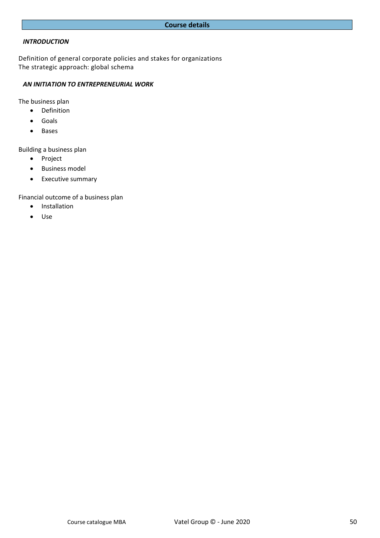#### *INTRODUCTION*

Definition of general corporate policies and stakes for organizations The strategic approach: global schema

## *AN INITIATION TO ENTREPRENEURIAL WORK*

The business plan

- Definition
- Goals
- Bases

Building a business plan

- Project
- Business model
- Executive summary

Financial outcome of a business plan

- Installation
- Use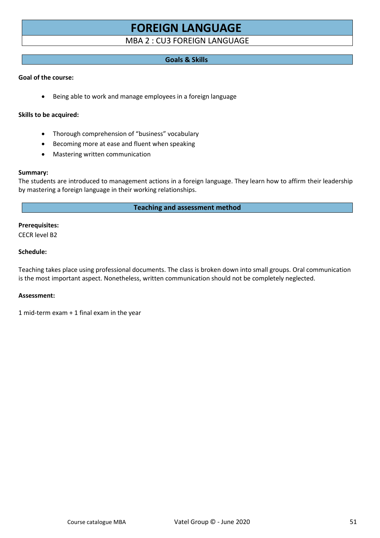# **FOREIGN LANGUAGE**

## MBA 2 : CU3 FOREIGN LANGUAGE

## **Goals & Skills**

#### **Goal of the course:**

• Being able to work and manage employees in a foreign language

#### **Skills to be acquired:**

- Thorough comprehension of "business" vocabulary
- Becoming more at ease and fluent when speaking
- Mastering written communication

#### **Summary:**

The students are introduced to management actions in a foreign language. They learn how to affirm their leadership by mastering a foreign language in their working relationships.

## **Teaching and assessment method**

## **Prerequisites:**

CECR level B2

#### **Schedule:**

Teaching takes place using professional documents. The class is broken down into small groups. Oral communication is the most important aspect. Nonetheless, written communication should not be completely neglected.

#### **Assessment:**

1 mid-term exam + 1 final exam in the year